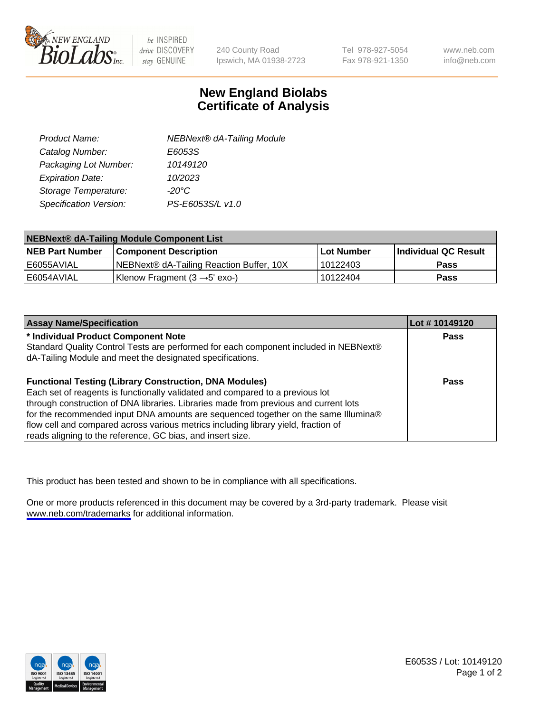

be INSPIRED drive DISCOVERY stay GENUINE

240 County Road Ipswich, MA 01938-2723 Tel 978-927-5054 Fax 978-921-1350

www.neb.com info@neb.com

## **New England Biolabs Certificate of Analysis**

| Product Name:           | <b>NEBNext® dA-Tailing Module</b> |
|-------------------------|-----------------------------------|
| Catalog Number:         | E6053S                            |
| Packaging Lot Number:   | 10149120                          |
| <b>Expiration Date:</b> | 10/2023                           |
| Storage Temperature:    | $-20^{\circ}$ C                   |
| Specification Version:  | PS-E6053S/L v1.0                  |

| NEBNext® dA-Tailing Module Component List |                                           |                   |                      |  |
|-------------------------------------------|-------------------------------------------|-------------------|----------------------|--|
| <b>NEB Part Number</b>                    | <b>Component Description</b>              | <b>Lot Number</b> | Individual QC Result |  |
| E6055AVIAL                                | NEBNext® dA-Tailing Reaction Buffer, 10X  | 10122403          | <b>Pass</b>          |  |
| E6054AVIAL                                | Klenow Fragment $(3 \rightarrow 5'$ exo-) | 10122404          | <b>Pass</b>          |  |

| <b>Assay Name/Specification</b>                                                      | Lot #10149120 |
|--------------------------------------------------------------------------------------|---------------|
| * Individual Product Component Note                                                  | Pass          |
| Standard Quality Control Tests are performed for each component included in NEBNext® |               |
| dA-Tailing Module and meet the designated specifications.                            |               |
|                                                                                      |               |
| <b>Functional Testing (Library Construction, DNA Modules)</b>                        | Pass          |
| Each set of reagents is functionally validated and compared to a previous lot        |               |
| through construction of DNA libraries. Libraries made from previous and current lots |               |
| for the recommended input DNA amounts are sequenced together on the same Illumina®   |               |
| flow cell and compared across various metrics including library yield, fraction of   |               |
| reads aligning to the reference, GC bias, and insert size.                           |               |

This product has been tested and shown to be in compliance with all specifications.

One or more products referenced in this document may be covered by a 3rd-party trademark. Please visit <www.neb.com/trademarks>for additional information.